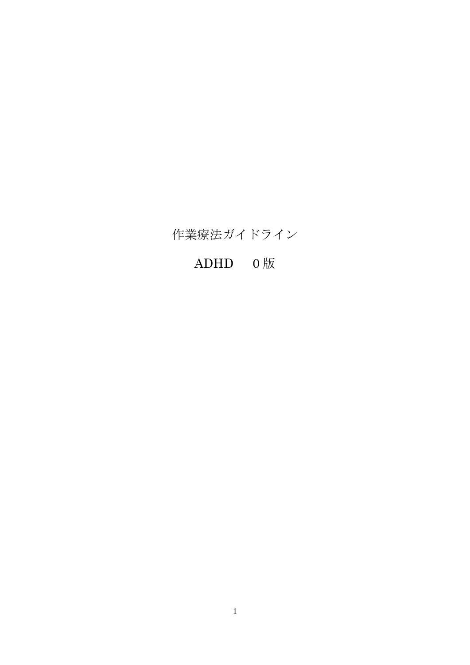## 作業療法ガイドライン

# ADHD 0 版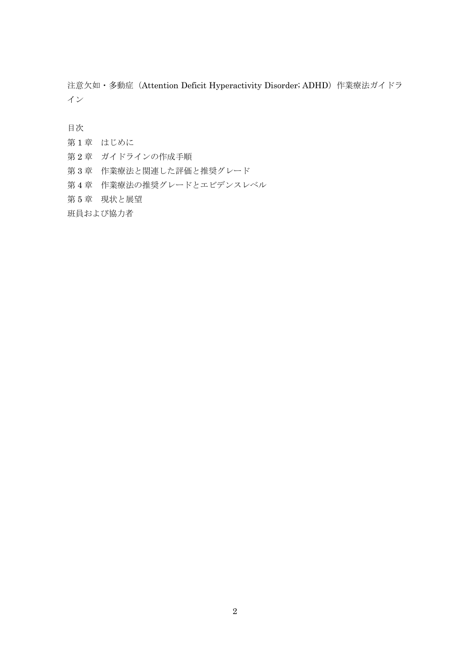注意欠如·多動症 (Attention Deficit Hyperactivity Disorder; ADHD) 作業療法ガイドラ イン

目次

第1章 はじめに

第2章 ガイドラインの作成手順

第 3 章 作業療法と関連した評価と推奨グレード

第 4 章 作業療法の推奨グレードとエビデンスレベル

第 5 章 現状と展望

班員および協力者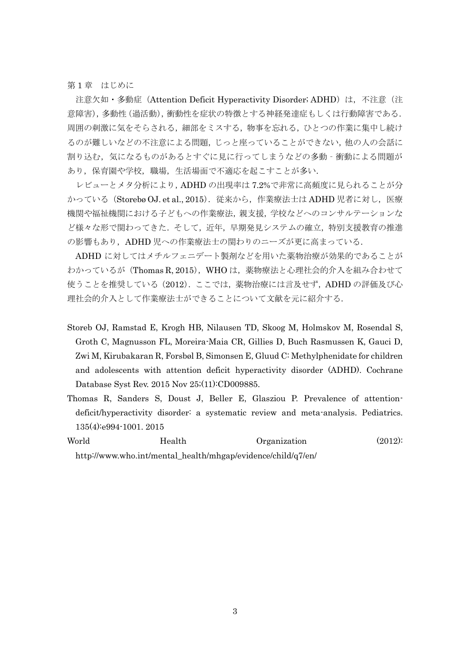第1章 はじめに

注意欠如・多動症(Attention Deficit Hyperactivity Disorder; ADHD)は, 不注意(注 意障害),多動性(過活動),衝動性を症状の特徴とする神経発達症もしくは行動障害である. 周囲の刺激に気をそらされる,細部をミスする,物事を忘れる,ひとつの作業に集中し続け るのが難しいなどの不注意による問題,じっと座っていることができない,他の人の会話に 割り込む, 気になるものがあるとすぐに見に行ってしまうなどの多動‐衝動による問題が あり,保育園や学校,職場,生活場面で不適応を起こすことが多い.

レビューとメタ分析により,ADHD の出現率は 7.2%で非常に高頻度に見られることが分 かっている (Storebø OJ. et al., 2015). 従来から, 作業療法士は ADHD 児者に対し, 医療 機関や福祉機関における子どもへの作業療法,親支援,学校などへのコンサルテーションな ど様々な形で関わってきた.そして,近年,早期発見システムの確立,特別支援教育の推進 の影響もあり, ADHD児への作業療法士の関わりのニーズが更に高まっている.

ADHD に対してはメチルフェニデート製剤などを用いた薬物治療が効果的であることが わかっているが(Thomas R, 2015), WHO は、薬物療法と心理社会的介入を組み合わせて 使うことを推奨している(2012).ここでは,薬物治療には言及せず,ADHD の評価及び心 理社会的介入として作業療法士ができることについて文献を元に紹介する.

- Storeb OJ, Ramstad E, Krogh HB, Nilausen TD, Skoog M, Holmskov M, Rosendal S, Groth C, Magnusson FL, Moreira-Maia CR, Gillies D, Buch Rasmussen K, Gauci D, Zwi M, Kirubakaran R, Forsbøl B, Simonsen E, Gluud C: Methylphenidate for children and adolescents with attention deficit hyperactivity disorder (ADHD). Cochrane Database Syst Rev. 2015 Nov 25;(11):CD009885.
- Thomas R, Sanders S, Doust J, Beller E, Glasziou P. Prevalence of attentiondeficit/hyperactivity disorder: a systematic review and meta-analysis. Pediatrics. 135(4):e994-1001. 2015
- World Health Organization (2012): http://www.who.int/mental\_health/mhgap/evidence/child/q7/en/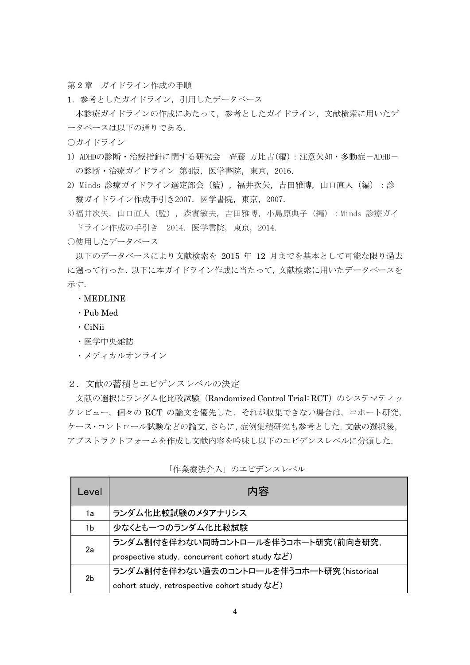第2章 ガイドライン作成の手順

1. 参考としたガイドライン,引用したデータベース

本診療ガイドラインの作成にあたって,参考としたガイドライン,文献検索に用いたデ ータベースは以下の通りである.

○ガイドライン

- 1) ADHDの診断・治療指針に関する研究会 齊藤 万比古(編):注意欠如・多動症-ADHD-の診断・治療ガイドライン 第4版, 医学書院, 東京, 2016.
- 2) Minds 診療ガイドライン選定部会(監),福井次矢,吉田雅博,山口直人(編):診 療ガイドライン作成手引き2007.医学書院,東京,2007.
- 3)福井次矢,山口直人(監), 森實敏夫,吉田雅博, 小島原典子(編):Minds 診療ガイ ドライン作成の手引き 2014.医学書院,東京,2014.

○使用したデータベース

以下のデータベースにより文献検索を 2015 年 12 月までを基本として可能な限り過去 に遡って行った. 以下に本ガイドライン作成に当たって、文献検索に用いたデータベースを 示す.

・MEDLINE

- ・Pub Med
- ・CiNii
- ・医学中央雑誌
- ・メディカルオンライン
- 2.文献の蓄積とエビデンスレベルの決定

文献の選択はランダム化比較試験(Randomized Control Trial: RCT)のシステマティッ クレビュー,個々の RCT の論文を優先した. それが収集できない場合は、コホート研究, ケース・コントロール試験などの論文,さらに,症例集積研究も参考とした.文献の選択後, アブストラクトフォームを作成し文献内容を吟味し以下のエビデンスレベルに分類した.

| Level | 内容                                             |
|-------|------------------------------------------------|
| 1a    | ランダム化比較試験のメタアナリシス                              |
| 1b    | 少なくとも一つのランダム化比較試験                              |
| 2a    | ランダム割付を伴わない同時コントロールを伴うコホート研究(前向き研究,            |
|       | prospective study, concurrent cohort study など) |
| 2b    | ランダム割付を伴わない過去のコントロールを伴うコホート研究(historical       |
|       | cohort study, retrospective cohort study など)   |

「作業療法介入」のエビデンスレベル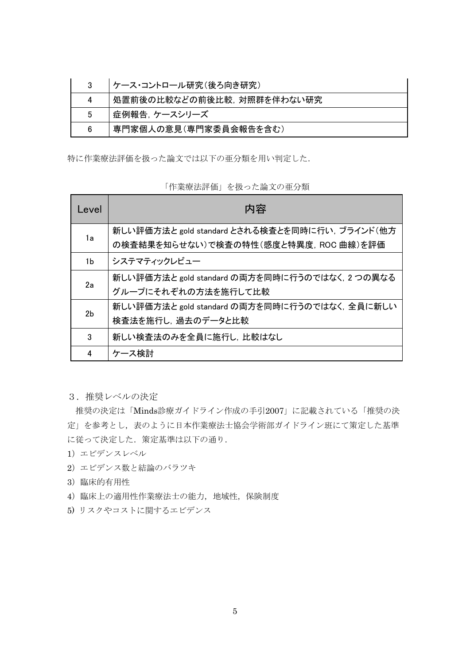|   | ケース・コントロール研究(後ろ向き研究)      |
|---|---------------------------|
| 4 | 処置前後の比較などの前後比較、対照群を伴わない研究 |
| 5 | 症例報告,ケースシリーズ              |
| 6 | 専門家個人の意見(専門家委員会報告を含む)     |

特に作業療法評価を扱った論文では以下の亜分類を用い判定した.

「作業療法評価」を扱った論文の亜分類

| Level | 内容                                                                                      |
|-------|-----------------------------------------------------------------------------------------|
| 1a    | 新しい評価方法と gold standard とされる検査とを同時に行い, ブラインド(他方<br>の検査結果を知らせない)で検査の特性(感度と特異度, ROC 曲線)を評価 |
| 1b.   | システマティックレビュー                                                                            |
| 2a    | 新しい評価方法と gold standard の両方を同時に行うのではなく, 2 つの異なる<br>グループにそれぞれの方法を施行して比較                   |
| 2b    | 新しい評価方法と gold standard の両方を同時に行うのではなく、全員に新しい<br>検査法を施行し、過去のデータと比較                       |
| 3     | 新しい検査法のみを全員に施行し、比較はなし                                                                   |
| 4     | ケース検討                                                                                   |

3.推奨レベルの決定

推奨の決定は「Minds診療ガイドライン作成の手引2007」に記載されている「推奨の決 定」を参考とし,表のように日本作業療法士協会学術部ガイドライン班にて策定した基準 に従って決定した. 策定基準は以下の通り.

- 1)エビデンスレベル
- 2)エビデンス数と結論のバラツキ
- 3)臨床的有用性
- 4)臨床上の適用性作業療法士の能力,地域性,保険制度
- 5) リスクやコストに関するエビデンス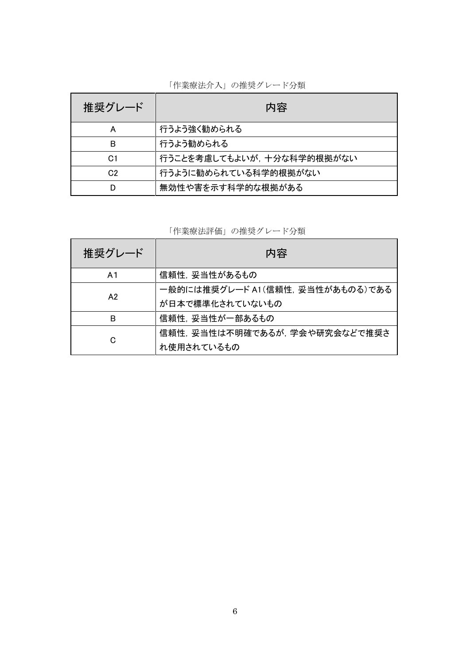| 推奨グレード         | 内容                        |
|----------------|---------------------------|
| А              | 行うよう強く勧められる               |
| В              | 行うよう勧められる                 |
| C <sub>1</sub> | 行うことを考慮してもよいが、十分な科学的根拠がない |
| C <sub>2</sub> | 行うように勧められている科学的根拠がない      |
|                | 無効性や害を示す科学的な根拠がある         |

「作業療法介入」の推奨グレード分類

「作業療法評価」の推奨グレード分類

| 推奨グレード         | 内容                               |
|----------------|----------------------------------|
| A <sub>1</sub> | 信頼性, 妥当性があるもの                    |
| A2             | 一般的には推奨グレード A1(信頼性, 妥当性があものる)である |
|                | が日本で標準化されていないもの                  |
| в              | 信頼性. 妥当性が一部あるもの                  |
|                | 信頼性. 妥当性は不明確であるが. 学会や研究会などで推奨さ   |
| C              | れ使用されているもの                       |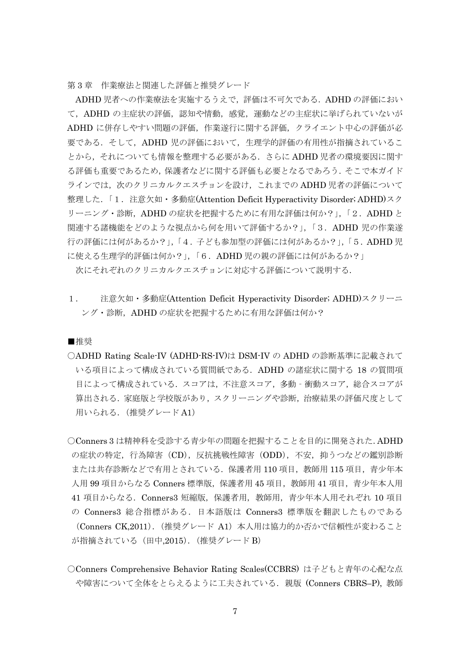第 3 章 作業療法と関連した評価と推奨グレード

ADHD 児者への作業療法を実施するうえで,評価は不可欠である.ADHD の評価におい て, ADHD の主症状の評価,認知や情動,感覚,運動などの主症状に挙げられていないが ADHD に併存しやすい問題の評価,作業遂行に関する評価,クライエント中心の評価が必 要である. そして, ADHD 児の評価において, 生理学的評価の有用性が指摘されているこ とから,それについても情報を整理する必要がある.さらに ADHD 児者の環境要因に関す る評価も重要であるため,保護者などに関する評価も必要となるであろう.そこで本ガイド ラインでは、次のクリニカルクエスチョンを設け、これまでの ADHD 児者の評価について 整理した.「1.注意欠如・多動症(Attention Deficit Hyperactivity Disorder; ADHD)スク リーニング・診断, ADHD の症状を把握するために有用な評価は何か?」,「2. ADHD と 関連する諸機能をどのような視点から何を用いて評価するか?」,「3.ADHD 児の作業遂 行の評価には何があるか?」,「4.子ども参加型の評価には何があるか?」,「5.ADHD 児 に使える生理学的評価は何か?」,「6.ADHD 児の親の評価には何があるか?」

次にそれぞれのクリニカルクエスチョンに対応する評価について説明する.

1. 注意欠如・多動症(Attention Deficit Hyperactivity Disorder; ADHD)スクリーニ ング・診断,ADHD の症状を把握するために有用な評価は何か?

■推奨

○ADHD Rating Scale-IV (ADHD-RS-IV)は DSM-IV の ADHD の診断基準に記載されて いる項目によって構成されている質問紙である.ADHD の諸症状に関する 18 の質問項 目によって構成されている. スコアは、不注意スコア,多動 - 衝動スコア,総合スコアが 算出される.家庭版と学校版があり,スクリーニングや診断,治療結果の評価尺度として 用いられる.(推奨グレード A1)

○Conners 3 は精神科を受診する青少年の問題を把握することを目的に開発された.ADHD の症状の特定,行為障害(CD),反抗挑戦性障害(ODD),不安,抑うつなどの鑑別診断 または共存診断などで有用とされている.保護者用 110 項目,教師用 115 項目,青少年本 人用 99 項目からなる Conners 標準版,保護者用 45 項目,教師用 41 項目,青少年本人用 41 項目からなる.Conners3 短縮版,保護者用,教師用,青少年本人用それぞれ 10 項目 の Conners3 総合指標がある.日本語版は Conners3 標準版を翻訳したものである (Conners CK,2011).(推奨グレード A1)本人用は協力的か否かで信頼性が変わること が指摘されている (田中,2015). (推奨グレード B)

○Conners Comprehensive Behavior Rating Scales(CCBRS) は子どもと青年の心配な点 や障害について全体をとらえるように工夫されている.親版 (Conners CBRS–P), 教師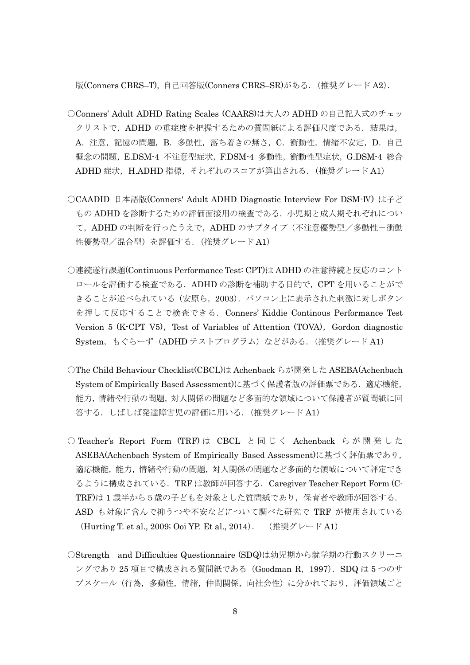版(Conners CBRS–T), 自己回答版(Conners CBRS–SR)がある.(推奨グレード A2).

- ○Conners' Adult ADHD Rating Scales (CAARS)は大人の ADHD の自己記入式のチェッ クリストで, ADHD の重症度を把握するための質問紙による評価尺度である. 結果は, A.注意,記憶の問題,B.多動性,落ち着きの無さ,C.衝動性,情緒不安定,D.自己 概念の問題,E.DSM-4 不注意型症状,F.DSM-4 多動性,衝動性型症状,G.DSM-4 総合 ADHD 症状,H.ADHD 指標,それぞれのスコアが算出される. (推奨グレード A1)
- ○CAADID 日本語版(Conners' Adult ADHD Diagnostic Interview For DSM-Ⅳ) は子ど もの ADHD を診断するための評価面接用の検査である. 小児期と成人期それぞれについ て,ADHD の判断を行ったうえで,ADHD のサブタイプ(不注意優勢型/多動性-衝動 性優勢型/混合型)を評価する.(推奨グレード A1)
- ○連続遂行課題(Continuous Performance Test: CPT)は ADHD の注意持続と反応のコント ロールを評価する検査である.ADHD の診断を補助する目的で, CPT を用いることがで きることが述べられている(安原ら,2003).パソコン上に表示された刺激に対しボタン を押して反応することで検査できる.Conners' Kiddie Continous Performance Test Version 5 (K-CPT V5), Test of Variables of Attention (TOVA), Gordon diagnostic System,もぐらーず(ADHD テストプログラム)などがある.(推奨グレード A1)
- ○The Child Behaviour Checklist(CBCL)は Achenback らが開発した ASEBA(Achenbach System of Empirically Based Assessment)に基づく保護者版の評価票である. 適応機能, 能力,情緒や行動の問題,対人関係の問題など多面的な領域について保護者が質問紙に回 答する.しばしば発達障害児の評価に用いる.(推奨グレード A1)
- Teacher's Report Form (TRF)は CBCL と同じく Achenback らが開発した ASEBA(Achenbach System of Empirically Based Assessment)に基づく評価票であり, 適応機能,能力,情緒や行動の問題,対人関係の問題など多面的な領域について評定でき るように構成されている.TRF は教師が回答する.Caregiver Teacher Report Form (C-TRF)は 1 歳半から5歳の子どもを対象とした質問紙であり,保育者や教師が回答する. ASD も対象に含んで抑うつや不安などについて調べた研究で TRF が使用されている (Hurting T. et al., 2009; Ooi YP. Et al., 2014). (推奨グレード A1)
- ○Strength and Difficulties Questionnaire (SDQ)は幼児期から就学期の行動スクリーニ ングであり 25 項目で構成される質問紙である(Goodman R,1997).SDQ は 5 つのサ ブスケール(行為,多動性,情緒,仲間関係,向社会性)に分かれており,評価領域ごと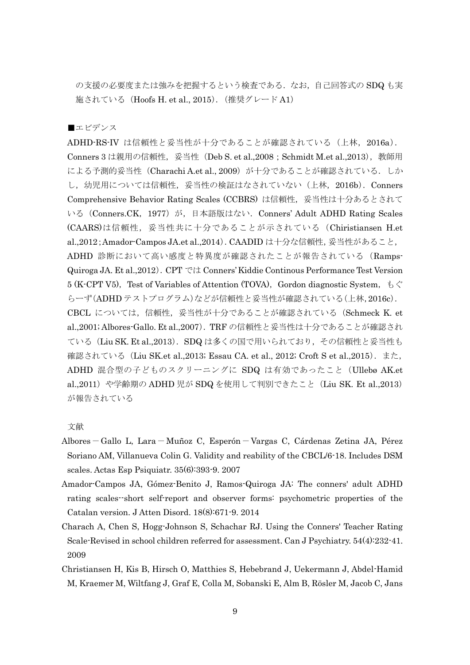の支援の必要度または強みを把握するという検査である. なお, 自己回答式の SDQ も実 施されている(Hoofs H. et al., 2015).(推奨グレード A1)

■エビデンス

ADHD-RS-IV は信頼性と妥当性が十分であることが確認されている(上林, 2016a). Conners 3 は親用の信頼性, 妥当性 (Deb S. et al.,2008; Schmidt M.et al.,2013), 教師用 による予測的妥当性 (Charachi A.et al., 2009) が十分であることが確認されている. しか し、幼児用については信頼性, 妥当性の検証はなされていない(上林, 2016b). Conners Comprehensive Behavior Rating Scales (CCBRS) は信頼性,妥当性は十分あるとされて いる (Conners.CK, 1977) が, 日本語版はない. Conners' Adult ADHD Rating Scales (CAARS)は信頼性, 妥当性共に十分であることが示されている (Chiristiansen H.et al.,2012; Amador-Campos JA.et al.,2014). CAADID は十分な信頼性, 妥当性があること, ADHD 診断において高い感度と特異度が確認されたことが報告されている(Ramps-Quiroga JA. Et al.,2012).CPT では Conners' Kiddie Continous Performance Test Version 5 (K-CPT V5), Test of Variables of Attention (TOVA), Gordon diagnostic System,  $\zeta \zeta$ らーず(ADHD テストプログラム)などが信頼性と妥当性が確認されている(上林,2016c). CBCL については,信頼性,妥当性が十分であることが確認されている(Schmeck K. et al.,2001; Albores-Gallo. Et al.,2007).TRF の信頼性と妥当性は十分であることが確認され ている(Liu SK. Et al.,2013). SDQ は多くの国で用いられており、その信頼性と妥当性も 確認されている (Liu SK.et al.,2013; Essau CA. et al., 2012; Croft S et al.,2015). また, ADHD 混合型の子どものスクリーニングに SDQ は有効であったこと(Ullebø AK.et al.,2011) や学齢期の ADHD 児が SDQ を使用して判別できたこと (Liu SK. Et al.,2013) が報告されている

- Albores-Gallo L, Lara-Muñoz C, Esperón-Vargas C, Cárdenas Zetina JA, Pérez Soriano AM, Villanueva Colin G. Validity and reability of the CBCL/6-18. Includes DSM scales. Actas Esp Psiquiatr. 35(6):393-9. 2007
- Amador-Campos JA, Gómez-Benito J, Ramos-Quiroga JA: The conners' adult ADHD rating scales--short self-report and observer forms: psychometric properties of the Catalan version. J Atten Disord. 18(8):671-9. 2014
- Charach A, Chen S, Hogg-Johnson S, Schachar RJ. Using the Conners' Teacher Rating Scale-Revised in school children referred for assessment. Can J Psychiatry. 54(4):232-41. 2009
- Christiansen H, Kis B, Hirsch O, Matthies S, Hebebrand J, Uekermann J, Abdel-Hamid M, Kraemer M, Wiltfang J, Graf E, Colla M, Sobanski E, Alm B, Rösler M, Jacob C, Jans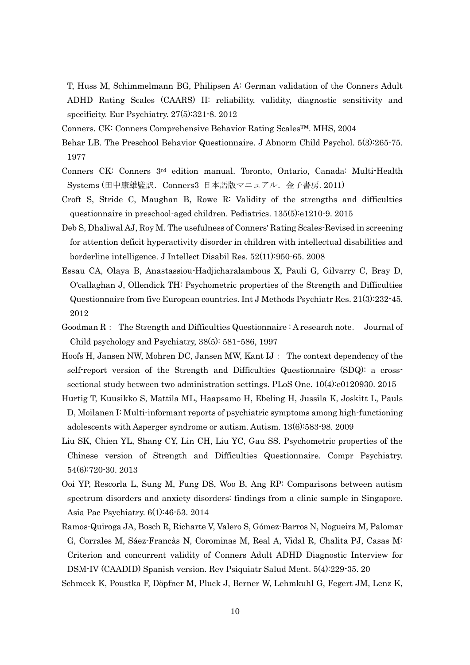T, Huss M, Schimmelmann BG, Philipsen A: German validation of the Conners Adult ADHD Rating Scales (CAARS) II: reliability, validity, diagnostic sensitivity and specificity. Eur Psychiatry. 27(5):321-8. 2012

- Conners. CK: Conners Comprehensive Behavior Rating Scales™. MHS, 2004
- Behar LB. The Preschool Behavior Questionnaire. J Abnorm Child Psychol. 5(3):265-75. 1977
- Conners CK: Conners 3rd edition manual. Toronto, Ontario, Canada: Multi-Health Systems (田中康雄監訳.Conners3 日本語版マニュアル.金子書房. 2011)
- Croft S, Stride C, Maughan B, Rowe R: Validity of the strengths and difficulties questionnaire in preschool-aged children. Pediatrics. 135(5):e1210-9. 2015
- Deb S, Dhaliwal AJ, Roy M. The usefulness of Conners' Rating Scales-Revised in screening for attention deficit hyperactivity disorder in children with intellectual disabilities and borderline intelligence. J Intellect Disabil Res. 52(11):950-65. 2008
- Essau CA, Olaya B, Anastassiou-Hadjicharalambous X, Pauli G, Gilvarry C, Bray D, O'callaghan J, Ollendick TH: Psychometric properties of the Strength and Difficulties Questionnaire from five European countries. Int J Methods Psychiatr Res. 21(3):232-45. 2012
- Goodman R: The Strength and Difficulties Questionnaire : A research note. Journal of Child psychology and Psychiatry, 38(5): 581–586, 1997
- Hoofs H, Jansen NW, Mohren DC, Jansen MW, Kant IJ: The context dependency of the self-report version of the Strength and Difficulties Questionnaire (SDQ): a crosssectional study between two administration settings. PLoS One. 10(4):e0120930. 2015
- Hurtig T, Kuusikko S, Mattila ML, Haapsamo H, Ebeling H, Jussila K, Joskitt L, Pauls D, Moilanen I: Multi-informant reports of psychiatric symptoms among high-functioning adolescents with Asperger syndrome or autism. Autism. 13(6):583-98. 2009
- Liu SK, Chien YL, Shang CY, Lin CH, Liu YC, Gau SS. Psychometric properties of the Chinese version of Strength and Difficulties Questionnaire. Compr Psychiatry. 54(6):720-30. 2013
- Ooi YP, Rescorla L, Sung M, Fung DS, Woo B, Ang RP: Comparisons between autism spectrum disorders and anxiety disorders: findings from a clinic sample in Singapore. Asia Pac Psychiatry. 6(1):46-53. 2014
- Ramos-Quiroga JA, Bosch R, Richarte V, Valero S, Gómez-Barros N, Nogueira M, Palomar G, Corrales M, Sáez-Francàs N, Corominas M, Real A, Vidal R, Chalita PJ, Casas M: Criterion and concurrent validity of Conners Adult ADHD Diagnostic Interview for DSM-IV (CAADID) Spanish version. Rev Psiquiatr Salud Ment. 5(4):229-35. 20

Schmeck K, Poustka F, Döpfner M, Pluck J, Berner W, Lehmkuhl G, Fegert JM, Lenz K,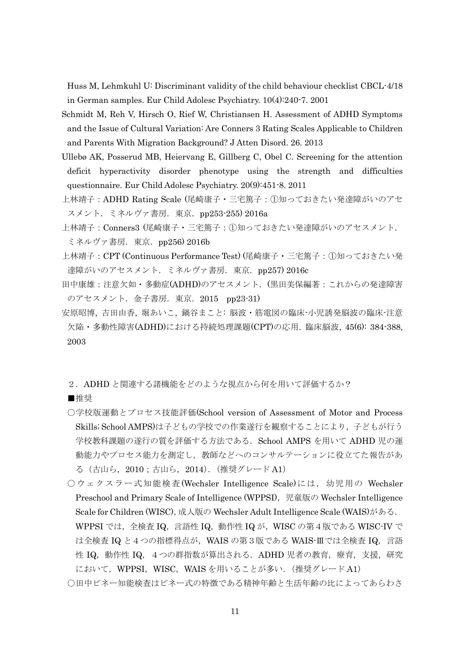Huss M, Lehmkuhl U: Discriminant validity of the child behaviour checklist CBCL-4/18 in German samples. Eur Child Adolesc Psychiatry. 10(4):240-7. 2001

- Schmidt M, Reh V, Hirsch O, Rief W, Christiansen H. Assessment of ADHD Symptoms and the Issue of Cultural Variation: Are Conners 3 Rating Scales Applicable to Children and Parents With Migration Background? J Atten Disord. 26. 2013
- Ullebø AK, Posserud MB, Heiervang E, Gillberg C, Obel C. Screening for the attention deficit hyperactivity disorder phenotype using the strength and difficulties questionnaire. Eur Child Adolesc Psychiatry. 20(9):451-8. 2011
- 上林靖子:ADHD Rating Scale (尾崎康子・三宅篤子:①知っておきたい発達障がいのアセ スメント. ミネルヴァ書房. 東京. pp253-255) 2016a
- 上林靖子:Conners3 (尾崎康子・三宅篤子:①知っておきたい発達障がいのアセスメント. ミネルヴァ書房. 東京. pp256) 2016b
- 上林靖子:CPT (Continuous Performance Test) (尾崎康子・三宅篤子:①知っておきたい発 達障がいのアセスメント. ミネルヴァ書房. 東京. pp257) 2016c
- 田中康雄:注意欠如・多動症(ADHD)のアセスメント.(黒田美保編著:これからの発達障害 のアセスメント. 金子書房. 東京. 2015 pp23-31)
- 安原昭博, 吉田由香, 堀あいこ, 鍋谷まこと: 脳波・筋電図の臨床-小児誘発脳波の臨床-注意 欠陥・多動性障害(ADHD)における持続処理課題(CPT)の応用. 臨床脳波, 45(6): 384-388, 2003
	- 2.ADHD と関連する諸機能をどのような視点から何を用いて評価するか?

■推奨

- ○学校版運動とプロセス技能評価(School version of Assessment of Motor and Process Skills; School AMPS)は子どもの学校での作業遂行を観察することにより、子どもが行う 学校教科課題の遂行の質を評価する方法である.School AMPS を用いて ADHD 児の運 動能力やプロセス能力を測定し,教師などへのコンサルテーションに役立てた報告があ る(古山ら,2010;古山ら,2014).(推奨グレード A1)
- ○ウェクスラー式知能検査(Wechsler Intelligence Scale)には、幼児用の Wechsler Preschool and Primary Scale of Intelligence (WPPSI), 児童版の Wechsler Intelligence Scale for Children (WISC), 成人版の Wechsler Adult Intelligence Scale (WAIS)がある. WPPSI では,全検査 IQ, 言語性 IQ, 動作性 IQ が, WISC の第4版である WISC-IV で は全検査 IQ と4つの指標得点が,WAIS の第3版である WAIS-Ⅲでは全検査 IQ,言語 性 IQ, 動作性 IQ, 4つの群指数が算出される. ADHD 児者の教育, 療育, 支援, 研究 において、WPPSI、WISC、WAIS を用いることが多い. (推奨グレード A1)
- ○田中ビネー知能検査はビネー式の特徴である精神年齢と生活年齢の比によってあらわさ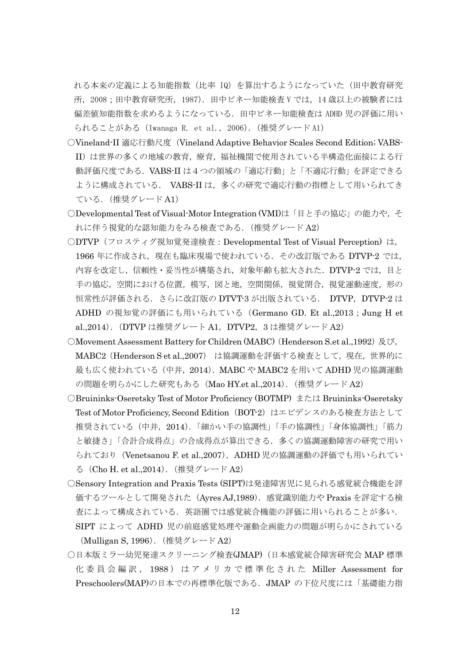れる本来の定義による知能指数(比率 IQ)を算出するようになっていた(田中教育研究 所, 2008;田中教育研究所, 1987). 田中ビネー知能検査 V では, 14 歳以上の被験者には 偏差値知能指数を求めるようになっている.田中ビネー知能検査は ADHD 児の評価に用い られることがある(Iwanaga R. et al., 2006).(推奨グレード A1)

- ○Vineland-II 適応行動尺度(Vineland Adaptive Behavior Scales Second Edition; VABS-II)は世界の多くの地域の教育,療育,福祉機関で使用されている半構造化面接による行 動評価尺度である.VABS-II は4つの領域の「適応行動」と「不適応行動」を評定できる ように構成されている. VABS-II は、多くの研究で適応行動の指標として用いられてき ている.(推奨グレード A1)
- ○Developmental Test of Visual-Motor Integration (VMI)は「目と手の協応」の能力や, そ れに伴う視覚的な認知能力をみる検査である.(推奨グレード A2)
- ○DTVP(フロスティグ視知覚発達検査:Developmental Test of Visual Perception) は, 1966 年に作成され,現在も臨床現場で使われている. その改訂版である DTVP-2 では, 内容を改定し,信頼性・妥当性が構築され,対象年齢も拡大された. DTVP-2 では, 目と 手の協応,空間における位置,模写,図と地,空間関係,視覚閉合,視覚運動速度,形の 恒常性が評価される.さらに改訂版の DTVT-3 が出版されている. DTVP,DTVP-2 は ADHD の視知覚の評価にも用いられている(Germano GD. Et al.,2013;Jung H et al.,2014). (DTVP は推奨グレート A1, DTVP2, 3 は推奨グレード A2)
- ○Movement Assessment Battery for Children (MABC) (Henderson S.et al.,1992) 及び, MABC2 (Henderson S et al., 2007) は協調運動を評価する検査として、現在,世界的に 最も広く使われている(中井,2014).MABC や MABC2 を用いて ADHD 児の協調運動 の問題を明らかにした研究もある (Mao HY.et al.,2014). (推奨グレード A2)
- ○Bruininks-Oseretsky Test of Motor Proficiency (BOTMP) または Bruininks-Oseretsky Test of Motor Proficiency, Second Edition (BOT-2) はエビデンスのある検査方法として 推奨されている(中井,2014).「細かい手の協調性」「手の協調性」「身体協調性」「筋力 と敏捷さ」「合計合成得点」の合成得点が算出できる.多くの協調運動障害の研究で用い られており (Venetsanou F. et al.,2007), ADHD 児の協調運動の評価でも用いられてい る(Cho H. et al.,2014).(推奨グレード A2)
- ○Sensory Integration and Praxis Tests (SIPT)は発達障害児に見られる感覚統合機能を評 価するツールとして開発された(Ayres AJ,1989).感覚識別能力や Praxis を評定する検 査によって構成されている.英語圏では感覚統合機能の評価に用いられることが多い. SIPT によって ADHD 児の前庭感覚処理や運動企画能力の問題が明らかにされている
- (Mulligan S, 1996).(推奨グレード A2)
- ○日本版ミラー幼児発達スクリーニング検査(JMAP)(日本感覚統合障害研究会 MAP 標準 化委員会編訳, 1988 ) はアメリカで標準化された Miller Assessment for Preschoolers(MAP)の日本での再標準化版である.JMAP の下位尺度には「基礎能力指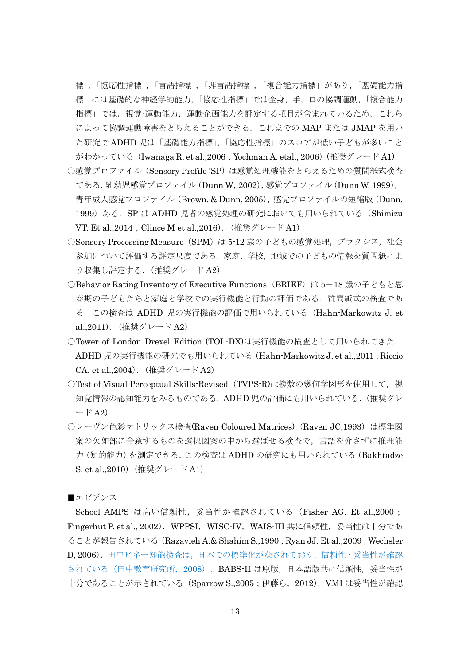標」,「協応性指標」,「言語指標」,「非言語指標」,「複合能力指標」があり,「基礎能力指 標」には基礎的な神経学的能力,「協応性指標」では全身,手,口の協調運動,「複合能力 指標」では,視覚-運動能力,運動企画能力を評定する項目が含まれているため,これら によって協調運動障害をとらえることができる.これまでの MAP または JMAP を用い た研究で ADHD 児は「基礎能力指標」,「協応性指標」のスコアが低い子どもが多いこと がわかっている(Iwanaga R. et al.,2006;Yochman A. etal., 2006)(推奨グレード A1).

- ○感覚プロファイル(Sensory Profile :SP)は感覚処理機能をとらえるための質問紙式検査 である.乳幼児感覚プロファイル(Dunn W,2002),感覚プロファイル(Dunn W, 1999), 青年成人感覚プロファイル(Brown, & Dunn, 2005),感覚プロファイルの短縮版(Dunn, 1999) ある. SP は ADHD 児者の感覚処理の研究においても用いられている (Shimizu VT. Et al., 2014 ; Clince M et al., 2016). (推奨グレード A1)
- ○Sensory Processing Measure (SPM) は 5-12 歳の子どもの感覚処理, プラクシス, 社会 参加について評価する評定尺度である.家庭,学校,地域での子どもの情報を質問紙によ り収集し評定する.(推奨グレード A2)
- ○Behavior Rating Inventory of Executive Functions (BRIEF) は5-18 歳の子どもと思 春期の子どもたちと家庭と学校での実行機能と行動の評価である.質問紙式の検査であ る.この検査は ADHD 児の実行機能の評価で用いられている(Hahn-Markowitz J. et al.,2011).(推奨グレード A2)
- ○Tower of London Drexel Edition (TOL-DX)は実行機能の検査として用いられてきた. ADHD 児の実行機能の研究でも用いられている(Hahn-Markowitz J. et al.,2011;Riccio CA. et al.,2004).(推奨グレード A2)
- ○Test of Visual Perceptual Skills-Revised (TVPS-R)は複数の幾何学図形を使用して、視 知覚情報の認知能力をみるものである.ADHD 児の評価にも用いられている.(推奨グレ  $-$  F A2)
- ○レーヴン色彩マトリックス検査(Raven Coloured Matrices) (Raven JC,1993)は標準図 案の欠如部に合致するものを選択図案の中から選ばせる検査で,言語を介さずに推理能 力(知的能力)を測定できる.この検査は ADHD の研究にも用いられている(Bakhtadze S. et al.,2010)(推奨グレード A1)

■エビデンス

School AMPS は高い信頼性, 妥当性が確認されている (Fisher AG. Et al.,2000; Fingerhut P. et al., 2002). WPPSI, WISC-IV, WAIS-III 共に信頼性, 妥当性は十分であ ることが報告されている(Razavieh A.& Shahim S.,1990;Ryan JJ. Et al.,2009;Wechsler D, 2006).田中ビネー知能検査は,日本での標準化がなされており,信頼性・妥当性が確認 されている(田中教育研究所, 2008). BABS-II は原版,日本語版共に信頼性,妥当性が 十分であることが示されている(Sparrow S.,2005;伊藤ら,2012).VMI は妥当性が確認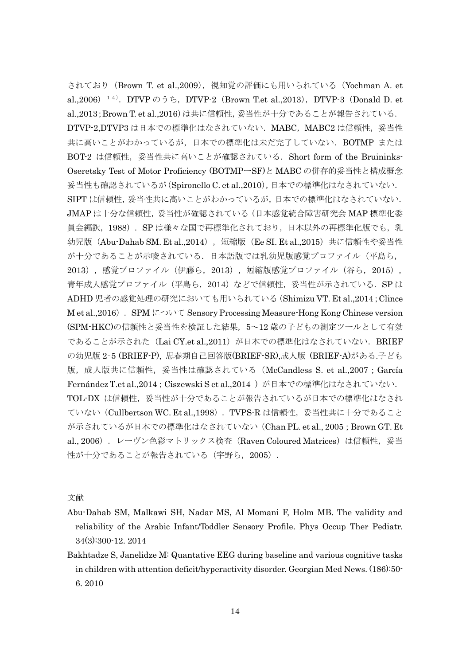されており(Brown T. et al.,2009),視知覚の評価にも用いられている(Yochman A. et al.,2006)<sup>14</sup>. DTVP  $\oslash$  5  $\ddot{\triangleright}$ , DTVP-2 (Brown T.et al.,2013), DTVP-3 (Donald D. et al.,2013; Brown T. et al.,2016)は共に信頼性, 妥当性が十分であることが報告されている. DTVP-2,DTVP3 は日本での標準化はなされていない.MABC,MABC2 は信頼性,妥当性 共に高いことがわかっているが、日本での標準化は未だ完了していない. BOTMP または BOT2 は信頼性, 妥当性共に高いことが確認されている. Short form of the Bruininks-Oseretsky Test of Motor Proficiency (BOTMPーSF)と MABC の併存的妥当性と構成概念 妥当性も確認されているが(Spironello C. et al.,2010),日本での標準化はなされていない. SIPTは信頼性,妥当性共に高いことがわかっているが、日本での標準化はなされていない. JMAP は十分な信頼性,妥当性が確認されている(日本感覚統合障害研究会 MAP 標準化委 員会編訳, 1988). SP は様々な国で再標準化されており, 日本以外の再標準化版でも, 乳 幼児版(Abu-Dahab SM. Et al.,2014),短縮版(Ee SI. Et al.,2015)共に信頼性や妥当性 が十分であることが示唆されている.日本語版では乳幼児版感覚プロファイル(平島ら, 2013),感覚プロファイル(伊藤ら,2013),短縮版感覚プロファイル(谷ら,2015), 青年成人感覚プロファイル (平島ら, 2014) などで信頼性, 妥当性が示されている. SP は ADHD 児者の感覚処理の研究においても用いられている(Shimizu VT. Et al.,2014;Clince M et al., 2016). SPM について Sensory Processing Measure-Hong Kong Chinese version (SPM-HKC)の信頼性と妥当性を検証した結果,5~12 歳の子どもの測定ツールとして有効 であることが示された (Lai CY.et al.,2011) が日本での標準化はなされていない. BRIEF の幼児版 2–5 (BRIEF-P), 思春期自己回答版(BRIEF-SR),成人版 (BRIEF-A)がある.子ども 版,成人版共に信頼性,妥当性は確認されている (McCandless S. et al.,2007; García Fernández T.et al.,2014; Ciszewski S et al.,2014)が日本での標準化はなされていない. TOL-DX は信頼性,妥当性が十分であることが報告されているが日本での標準化はなされ ていない(Cullbertson WC. Et al.,1998).TVPS-R は信頼性,妥当性共に十分であること が示されているが日本での標準化はなされていない(Chan PL. et al., 2005;Brown GT. Et al., 2006). レーヴン色彩マトリックス検査(Raven Coloured Matrices)は信頼性, 妥当 性が十分であることが報告されている(宇野ら, 2005).

- Abu-Dahab SM, Malkawi SH, Nadar MS, Al Momani F, Holm MB. The validity and reliability of the Arabic Infant/Toddler Sensory Profile. Phys Occup Ther Pediatr. 34(3):300-12. 2014
- Bakhtadze S, Janelidze M: Quantative EEG during baseline and various cognitive tasks in children with attention deficit/hyperactivity disorder. Georgian Med News. (186):50- 6. 2010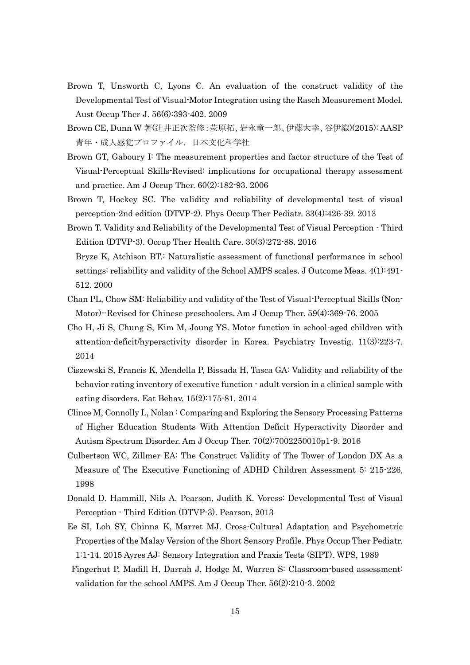- Brown T, Unsworth C, Lyons C. An evaluation of the construct validity of the Developmental Test of Visual-Motor Integration using the Rasch Measurement Model. Aust Occup Ther J. 56(6):393-402. 2009
- Brown CE, Dunn W 著(辻井正次監修:萩原拓、岩永竜一郎、伊藤大幸、谷伊織)(2015): AASP 青年・成人感覚プロファイル.日本文化科学社
- Brown GT, Gaboury I: The measurement properties and factor structure of the Test of Visual-Perceptual Skills-Revised: implications for occupational therapy assessment and practice. Am J Occup Ther. 60(2):182-93. 2006
- Brown T, Hockey SC. The validity and reliability of developmental test of visual perception-2nd edition (DTVP-2). Phys Occup Ther Pediatr. 33(4):426-39. 2013
- Brown T. Validity and Reliability of the Developmental Test of Visual Perception Third Edition (DTVP-3). Occup Ther Health Care. 30(3):272-88. 2016 Bryze K, Atchison BT.: Naturalistic assessment of functional performance in school
- settings: reliability and validity of the School AMPS scales. J Outcome Meas. 4(1):491- 512. 2000
- Chan PL, Chow SM: Reliability and validity of the Test of Visual-Perceptual Skills (Non-Motor)--Revised for Chinese preschoolers. Am J Occup Ther. 59(4):369-76. 2005
- Cho H, Ji S, Chung S, Kim M, Joung YS. Motor function in school-aged children with attention-deficit/hyperactivity disorder in Korea. Psychiatry Investig. 11(3):223-7. 2014
- Ciszewski S, Francis K, Mendella P, Bissada H, Tasca GA: Validity and reliability of the behavior rating inventory of executive function - adult version in a clinical sample with eating disorders. Eat Behav. 15(2):175-81. 2014
- Clince M, Connolly L, Nolan : Comparing and Exploring the Sensory Processing Patterns of Higher Education Students With Attention Deficit Hyperactivity Disorder and Autism Spectrum Disorder. Am J Occup Ther. 70(2):7002250010p1-9. 2016
- Culbertson WC, Zillmer EA: The Construct Validity of The Tower of London DX As a Measure of The Executive Functioning of ADHD Children Assessment 5: 215-226, 1998
- Donald D. Hammill, Nils A. Pearson, Judith K. Voress: Developmental Test of Visual Perception - Third Edition (DTVP-3). Pearson, 2013
- Ee SI, Loh SY, Chinna K, Marret MJ. Cross-Cultural Adaptation and Psychometric Properties of the Malay Version of the Short Sensory Profile. Phys Occup Ther Pediatr. 1:1-14. 2015 Ayres AJ: Sensory Integration and Praxis Tests (SIPT). WPS, 1989
- Fingerhut P, Madill H, Darrah J, Hodge M, Warren S: Classroom-based assessment: validation for the school AMPS. Am J Occup Ther. 56(2):210-3. 2002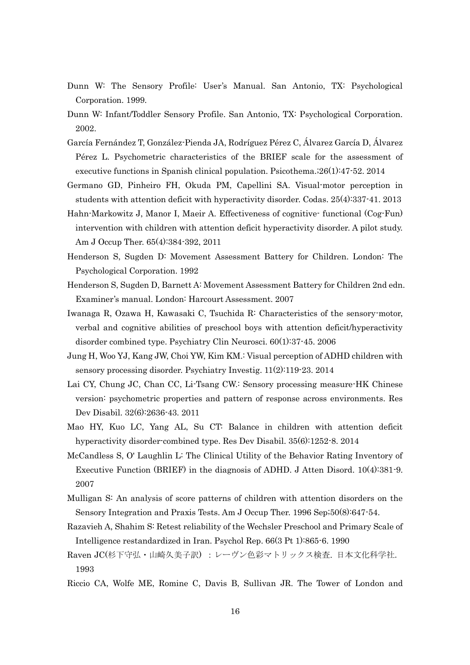- Dunn W: The Sensory Profile: User's Manual. San Antonio, TX: Psychological Corporation. 1999.
- Dunn W: Infant/Toddler Sensory Profile. San Antonio, TX: Psychological Corporation. 2002.
- García Fernández T, González-Pienda JA, Rodríguez Pérez C, Álvarez García D, Álvarez Pérez L. Psychometric characteristics of the BRIEF scale for the assessment of executive functions in Spanish clinical population. Psicothema.;26(1):47-52. 2014
- Germano GD, Pinheiro FH, Okuda PM, Capellini SA. Visual-motor perception in students with attention deficit with hyperactivity disorder. Codas. 25(4):337-41. 2013
- Hahn-Markowitz J, Manor I, Maeir A. Effectiveness of cognitive- functional (Cog-Fun) intervention with children with attention deficit hyperactivity disorder. A pilot study. Am J Occup Ther. 65(4):384-392, 2011
- Henderson S, Sugden D: Movement Assessment Battery for Children. London: The Psychological Corporation. 1992
- Henderson S, Sugden D, Barnett A: Movement Assessment Battery for Children 2nd edn. Examiner's manual. London: Harcourt Assessment. 2007
- Iwanaga R, Ozawa H, Kawasaki C, Tsuchida R: Characteristics of the sensory-motor, verbal and cognitive abilities of preschool boys with attention deficit/hyperactivity disorder combined type. Psychiatry Clin Neurosci. 60(1):37-45. 2006
- Jung H, Woo YJ, Kang JW, Choi YW, Kim KM.: Visual perception of ADHD children with sensory processing disorder. Psychiatry Investig. 11(2):119-23. 2014
- Lai CY, Chung JC, Chan CC, Li-Tsang CW.: Sensory processing measure-HK Chinese version: psychometric properties and pattern of response across environments. Res Dev Disabil. 32(6):2636-43. 2011
- Mao HY, Kuo LC, Yang AL, Su CT: Balance in children with attention deficit hyperactivity disorder-combined type. Res Dev Disabil. 35(6):1252-8. 2014
- McCandless S, O' Laughlin L: The Clinical Utility of the Behavior Rating Inventory of Executive Function (BRIEF) in the diagnosis of ADHD. J Atten Disord. 10(4):381-9. 2007
- Mulligan S: An analysis of score patterns of children with attention disorders on the Sensory Integration and Praxis Tests. Am J Occup Ther. 1996 Sep;50(8):647-54.
- Razavieh A, Shahim S: Retest reliability of the Wechsler Preschool and Primary Scale of Intelligence restandardized in Iran. Psychol Rep. 66(3 Pt 1):865-6. 1990
- Raven JC(杉下守弘・山崎久美子訳) :レーヴン色彩マトリックス検査. 日本文化科学社. 1993
- Riccio CA, Wolfe ME, Romine C, Davis B, Sullivan JR. The Tower of London and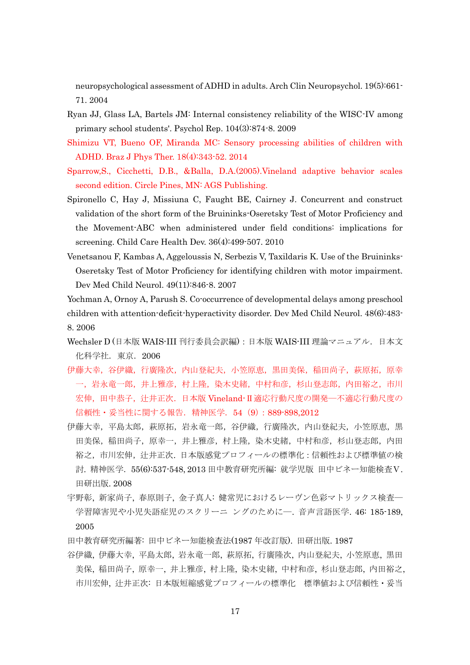neuropsychological assessment of ADHD in adults. Arch Clin Neuropsychol. 19(5):661- 71. 2004

- Ryan JJ, Glass LA, Bartels JM: Internal consistency reliability of the WISC-IV among primary school students'. Psychol Rep. 104(3):874-8. 2009
- Shimizu VT, Bueno OF, Miranda MC: Sensory processing abilities of children with ADHD. Braz J Phys Ther. 18(4):343-52. 2014
- Sparrow,S., Cicchetti, D.B., &Balla, D.A.(2005).Vineland adaptive behavior scales second edition. Circle Pines, MN: AGS Publishing.
- Spironello C, Hay J, Missiuna C, Faught BE, Cairney J. Concurrent and construct validation of the short form of the Bruininks-Oseretsky Test of Motor Proficiency and the Movement-ABC when administered under field conditions: implications for screening. Child Care Health Dev. 36(4):499-507. 2010
- Venetsanou F, Kambas A, Aggeloussis N, Serbezis V, Taxildaris K. Use of the Bruininks-Oseretsky Test of Motor Proficiency for identifying children with motor impairment. Dev Med Child Neurol. 49(11):846-8. 2007

Yochman A, Ornoy A, Parush S. Co-occurrence of developmental delays among preschool children with attention-deficit-hyperactivity disorder. Dev Med Child Neurol. 48(6):483- 8. 2006

- Wechsler D (日本版 WAIS-III 刊行委員会訳編):日本版 WAIS-III 理論マニュアル.日本文 化科学社.東京.2006
- 伊藤大幸,谷伊織,行廣隆次,内山登紀夫,小笠原恵,黒田美保,稲田尚子,萩原拓,原幸 一,岩永竜一郎,井上雅彦,村上隆,染木史緒,中村和彦,杉山登志郎,内田裕之,市川 宏伸,田中恭子,辻井正次. 日本版 Vineland-Ⅱ適応行動尺度の開発―不適応行動尺度の 信頼性・妥当性に関する報告.精神医学.54(9):889-898,2012
- 伊藤大幸,平島太郎,萩原拓,岩永竜一郎,谷伊織,行廣隆次,内山登紀夫,小笠原恵,黒 田美保,稲田尚子,原幸一,井上雅彦,村上隆,染木史緒,中村和彦,杉山登志郎,内田 裕之,市川宏伸,辻井正次. 日本版感覚プロフィールの標準化:信頼性および標準値の検 討. 精神医学.55(6):537-548, 2013 田中教育研究所編: 就学児版 田中ビネー知能検査Ⅴ. 田研出版. 2008
- 宇野彰, 新家尚子, 春原則子, 金子真人: 健常児におけるレーヴン色彩マトリックス検査― 学習障害児や小児失語症児のスクリーニ ングのために―. 音声言語医学. 46: 185-189, 2005
- 田中教育研究所編著: 田中ビネー知能検査法(1987 年改訂版). 田研出版. 1987
- 谷伊織, 伊藤大幸, 平島太郎, 岩永竜一郎, 萩原拓, 行廣隆次, 内山登紀夫, 小笠原恵, 黒田 美保, 稲田尚子, 原幸一, 井上雅彦, 村上隆, 染木史緒, 中村和彦, 杉山登志郎, 内田裕之, 市川宏伸, 辻井正次: 日本版短縮感覚プロフィールの標準化 標準値および信頼性・妥当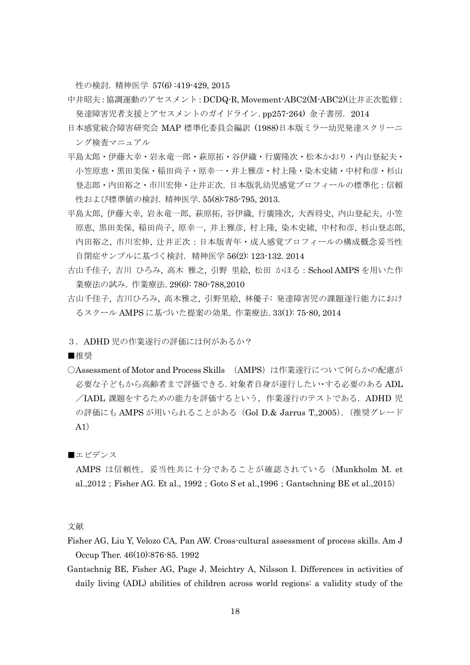性の検討. 精神医学 57(6) :419-429, 2015

中井昭夫:協調運動のアセスメント:DCDQ-R, Movement-ABC2(M-ABC2)(辻井正次監修: 発達障害児者支援とアセスメントのガイドライン. pp257-264) 金子書房. 2014

- 日本感覚統合障害研究会 MAP 標準化委員会編訳 (1988)日本版ミラー幼児発達スクリーニ ング検査マニュアル
- 平島太郎・伊藤大幸・岩永竜一郎・萩原拓・谷伊織・行廣隆次・松本かおり・内山登紀夫・ 小笠原恵・黒田美保・稲田尚子・原幸一・井上雅彦・村上隆・染木史緒・中村和彦・杉山 登志郎・内田裕之・市川宏伸・辻井正次. 日本版乳幼児感覚プロフィールの標準化:信頼 性および標準値の検討. 精神医学. 55(8):785-795, 2013.
- 平島太郎, 伊藤大幸, 岩永竜一郎, 萩原拓, 谷伊織, 行廣隆次, 大西将史, 内山登紀夫, 小笠 原恵, 黒田美保, 稲田尚子, 原幸一, 井上雅彦, 村上隆, 染木史緒, 中村和彦, 杉山登志郎, 内田裕之, 市川宏伸, 辻井正次:日本版青年・成人感覚プロフィールの構成概念妥当性 自閉症サンプルに基づく検討.精神医学 56(2): 123-132. 2014
- 古山千佳子, 吉川 ひろみ, 高木 雅之, 引野 里絵, 松田 かほる:School AMPS を用いた作 業療法の試み. 作業療法. 29(6): 780-788,2010
- 古山千佳子, 吉川ひろみ, 高木雅之, 引野里絵, 林優子: 発達障害児の課題遂行能力におけ るスクール AMPS に基づいた提案の効果. 作業療法. 33(1): 75-80, 2014

## 3. ADHD児の作業遂行の評価には何があるか?

■推奨

○Assessment of Motor and Process Skills (AMPS)は作業遂行について何らかの配慮が 必要な子どもから高齢者まで評価できる.対象者自身が遂行したい・する必要のある ADL /IADL 課題をするための能力を評価するという,作業遂行のテストである.ADHD 児 の評価にも AMPS が用いられることがある(Gol D.& Jarrus T.,2005).(推奨グレード A1)

■エビデンス

AMPS は信頼性, 妥当性共に十分であることが確認されている (Munkholm M. et al., 2012; Fisher AG. Et al., 1992; Goto S et al., 1996; Gantschning BE et al., 2015)

- Fisher AG, Liu Y, Velozo CA, Pan AW. Cross-cultural assessment of process skills. Am J Occup Ther. 46(10):876-85. 1992
- Gantschnig BE, Fisher AG, Page J, Meichtry A, Nilsson I. Differences in activities of daily living (ADL) abilities of children across world regions: a validity study of the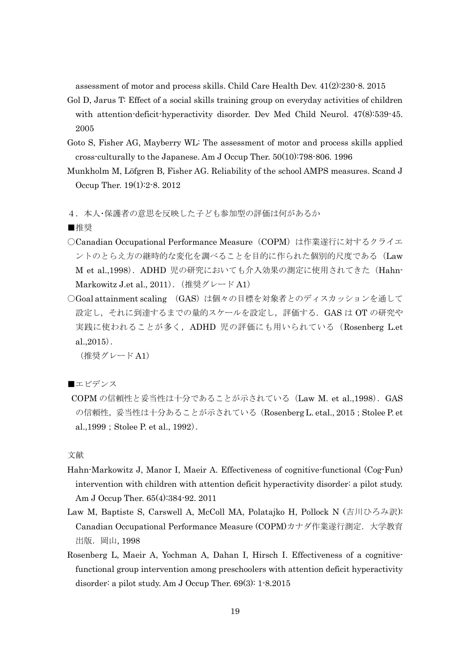assessment of motor and process skills. Child Care Health Dev. 41(2):230-8. 2015

- Gol D, Jarus T: Effect of a social skills training group on everyday activities of children with attention-deficit-hyperactivity disorder. Dev Med Child Neurol.  $47(8)$ :539-45. 2005
- Goto S, Fisher AG, Mayberry WL: The assessment of motor and process skills applied cross-culturally to the Japanese. Am J Occup Ther. 50(10):798-806. 1996
- Munkholm M, Löfgren B, Fisher AG. Reliability of the school AMPS measures. Scand J Occup Ther. 19(1):2-8. 2012

4.本人・保護者の意思を反映した子ども参加型の評価は何があるか

■推奨

- ○Canadian Occupational Performance Measure (COPM) は作業遂行に対するクライエ ントのとらえ方の継時的な変化を調べることを目的に作られた個別的尺度である(Law M et al.,1998).ADHD 児の研究においても介入効果の測定に使用されてきた(Hahn-Markowitz J.et al., 2011). (推奨グレード A1)
- ○Goal attainment scaling (GAS)は個々の目標を対象者とのディスカッションを通して 設定し、それに到達するまでの量的スケールを設定し、評価する. GAS は OT の研究や 実践に使われることが多く,ADHD 児の評価にも用いられている(Rosenberg L.et al.,2015).

(推奨グレード A1)

■エビデンス

COPM の信頼性と妥当性は十分であることが示されている(Law M. et al.,1998).GAS の信頼性,妥当性は十分あることが示されている (Rosenberg L. etal., 2015; Stolee P. et al., 1999; Stolee P. et al., 1992).

- Hahn-Markowitz J, Manor I, Maeir A. Effectiveness of cognitive-functional (Cog-Fun) intervention with children with attention deficit hyperactivity disorder: a pilot study. Am J Occup Ther. 65(4):384-92. 2011
- Law M, Baptiste S, Carswell A, McColl MA, Polatajko H, Pollock N (吉川ひろみ訳): Canadian Occupational Performance Measure (COPM)カナダ作業遂行測定. 大学教育 出版. 岡山, 1998
- Rosenberg L, Maeir A, Yochman A, Dahan I, Hirsch I. Effectiveness of a cognitivefunctional group intervention among preschoolers with attention deficit hyperactivity disorder: a pilot study. Am J Occup Ther. 69(3): 1-8.2015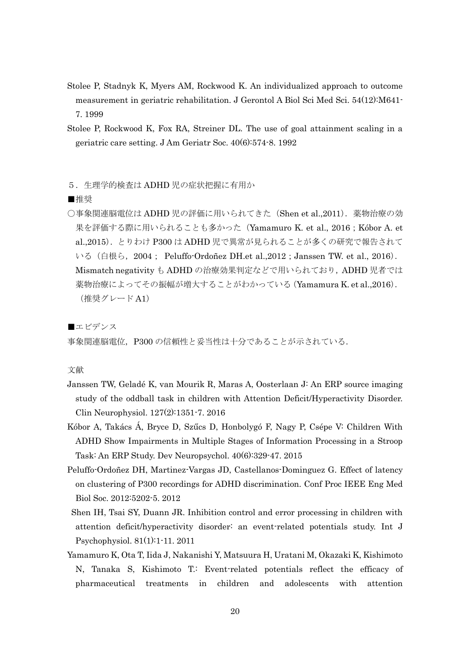- Stolee P, Stadnyk K, Myers AM, Rockwood K. An individualized approach to outcome measurement in geriatric rehabilitation. J Gerontol A Biol Sci Med Sci. 54(12):M641- 7. 1999
- Stolee P, Rockwood K, Fox RA, Streiner DL. The use of goal attainment scaling in a geriatric care setting. J Am Geriatr Soc. 40(6):574-8. 1992
- 5.生理学的検査は ADHD 児の症状把握に有用か
- ■推奨
- ○事象関連脳電位は ADHD 児の評価に用いられてきた (Shen et al.,2011). 薬物治療の効 果を評価する際に用いられることも多かった (Yamamuro K. et al., 2016; Kóbor A. et al.,2015).とりわけ P300 は ADHD 児で異常が見られることが多くの研究で報告されて いる (白根ら, 2004; Peluffo-Ordoñez DH.et al., 2012; Janssen TW. et al., 2016). Mismatch negativity も ADHD の治療効果判定などで用いられており,ADHD 児者では 薬物治療によってその振幅が増大することがわかっている(Yamamura K. et al.,2016). (推奨グレード A1)

■エビデンス

事象関連脳電位,P300 の信頼性と妥当性は十分であることが示されている.

- Janssen TW, Geladé K, van Mourik R, Maras A, Oosterlaan J: An ERP source imaging study of the oddball task in children with Attention Deficit/Hyperactivity Disorder. Clin Neurophysiol. 127(2):1351-7. 2016
- Kóbor A, Takács Á, Bryce D, Szűcs D, Honbolygó F, Nagy P, Csépe V: Children With ADHD Show Impairments in Multiple Stages of Information Processing in a Stroop Task: An ERP Study. Dev Neuropsychol. 40(6):329-47. 2015
- Peluffo-Ordoñez DH, Martinez-Vargas JD, Castellanos-Dominguez G. Effect of latency on clustering of P300 recordings for ADHD discrimination. Conf Proc IEEE Eng Med Biol Soc. 2012:5202-5. 2012
- Shen IH, Tsai SY, Duann JR. Inhibition control and error processing in children with attention deficit/hyperactivity disorder: an event-related potentials study. Int J Psychophysiol. 81(1):1-11. 2011
- Yamamuro K, Ota T, Iida J, Nakanishi Y, Matsuura H, Uratani M, Okazaki K, Kishimoto N, Tanaka S, Kishimoto T.: Event-related potentials reflect the efficacy of pharmaceutical treatments in children and adolescents with attention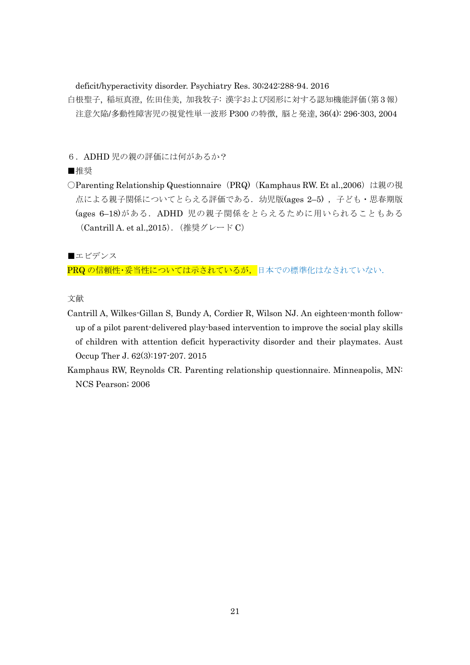deficit/hyperactivity disorder. Psychiatry Res. 30;242:288-94. 2016

- 白根聖子, 稲垣真澄, 佐田佳美, 加我牧子: 漢字および図形に対する認知機能評価(第3報) 注意欠陥/多動性障害児の視覚性単一波形 P300 の特徴, 脳と発達, 36(4): 296-303, 2004
- 6.ADHD 児の親の評価には何があるか?

## ■推奨

○Parenting Relationship Questionnaire (PRQ) (Kamphaus RW. Et al.,2006) は親の視 点による親子関係についてとらえる評価である. 幼児版(ages 2-5), 子ども・思春期版 (ages 6–18)がある.ADHD 児の親子関係をとらえるために用いられることもある (Cantrill A. et al.,2015).(推奨グレード C)

■エビデンス

PRQ の信頼性・妥当性については示されているが、日本での標準化はなされていない.

- Cantrill A, Wilkes-Gillan S, Bundy A, Cordier R, Wilson NJ. An eighteen-month followup of a pilot parent-delivered play-based intervention to improve the social play skills of children with attention deficit hyperactivity disorder and their playmates. Aust Occup Ther J. 62(3):197-207. 2015
- Kamphaus RW, Reynolds CR. Parenting relationship questionnaire. Minneapolis, MN: NCS Pearson; 2006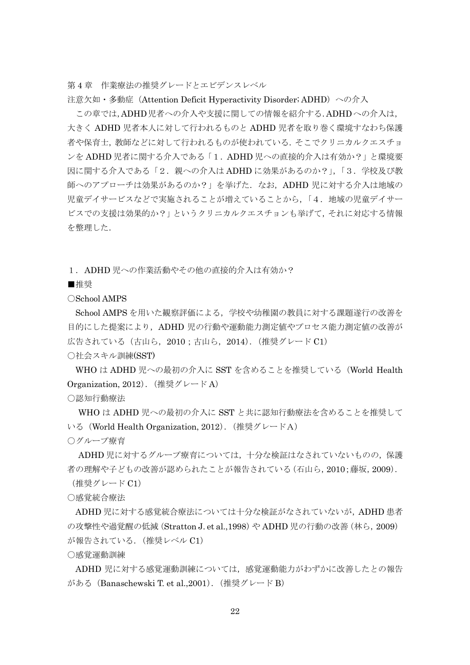第4章 作業療法の推奨グレードとエビデンスレベル

注意欠如・多動症 (Attention Deficit Hyperactivity Disorder; ADHD) への介入

この章では,ADHD児者への介入や支援に関しての情報を紹介する.ADHDへの介入は, 大きく ADHD 児者本人に対して行われるものと ADHD 児者を取り巻く環境すなわち保護 者や保育士,教師などに対して行われるものが使われている.そこでクリニカルクエスチョ ンを ADHD 児者に関する介入である「1.ADHD 児への直接的介入は有効か?」と環境要 因に関する介入である「2.親への介入は ADHD に効果があるのか?」,「3.学校及び教 師へのアプローチは効果があるのか?」を挙げた. なお, ADHD 児に対する介入は地域の 児童デイサービスなどで実施されることが増えていることから,「4.地域の児童デイサー ビスでの支援は効果的か?」というクリニカルクエスチョンも挙げて,それに対応する情報 を整理した.

1.ADHD 児への作業活動やその他の直接的介入は有効か?

■推奨

○School AMPS

School AMPS を用いた観察評価による,学校や幼稚園の教員に対する課題遂行の改善を 目的にした提案により,ADHD 児の行動や運動能力測定値やプロセス能力測定値の改善が 広告されている(古山ら,2010;古山ら,2014).(推奨グレード C1) ○社会スキル訓練(SST)

WHOはADHD児への最初の介入に SST を含めることを推奨している(World Health Organization, 2012). (推奨グレード A)

○認知行動療法

WHO は ADHD 児への最初の介入に SST と共に認知行動療法を含めることを推奨して いる (World Health Organization, 2012). (推奨グレードA)

○グループ療育

ADHD 児に対するグループ療育については,十分な検証はなされていないものの,保護 者の理解や子どもの改善が認められたことが報告されている(石山ら,2010;藤坂,2009). (推奨グレード C1)

○感覚統合療法

ADHD 児に対する感覚統合療法については十分な検証がなされていないが,ADHD 患者 の攻撃性や過覚醒の低減 (Stratton J. et al.,1998) や ADHD 児の行動の改善 (林ら, 2009) が報告されている.(推奨レベル C1)

○感覚運動訓練

ADHD 児に対する感覚運動訓練については,感覚運動能力がわずかに改善したとの報告 がある (Banaschewski T. et al., 2001). (推奨グレード B)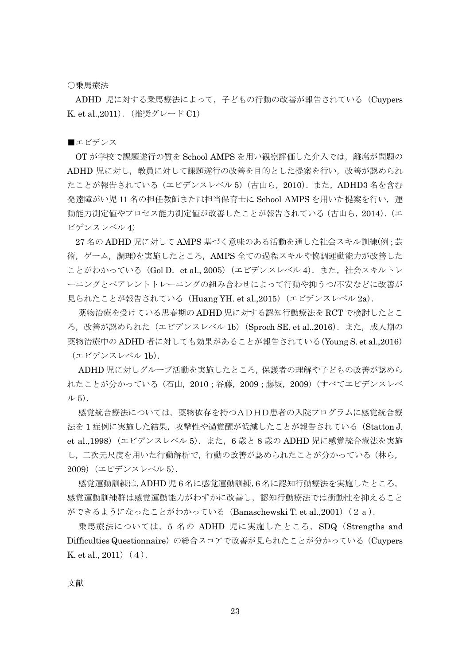#### ○乗馬療法

ADHD 児に対する乗馬療法によって,子どもの行動の改善が報告されている(Cuypers K. et al.,2011).(推奨グレード C1)

#### ■エビデンス

OT が学校で課題遂行の質を School AMPS を用い観察評価した介入では,離席が問題の ADHD 児に対し、教員に対して課題遂行の改善を目的とした提案を行い、改善が認められ たことが報告されている(エビデンスレベル 5)(古山ら,2010).また,ADHD3 名を含む 発達障がい児 11 名の担任教師または担当保育士に School AMPS を用いた提案を行い, 運 動能力測定値やプロセス能力測定値が改善したことが報告されている(古山ら, 2014). (エ ビデンスレベル 4)

27 名の ADHD 児に対して AMPS 基づく意味のある活動を通した社会スキル訓練(例;芸 術,ゲーム,調理)を実施したところ,AMPS 全ての過程スキルや協調運動能力が改善した ことがわかっている(Gol D. et al., 2005)(エビデンスレベル 4). また, 社会スキルトレ ーニングとペアレントトレーニングの組み合わせによって行動や抑うつ/不安などに改善が 見られたことが報告されている (Huang YH. et al.,2015) (エビデンスレベル 2a).

薬物治療を受けている思春期の ADHD 児に対する認知行動療法を RCT で検討したとこ ろ,改善が認められた (エビデンスレベル 1b) (Sproch SE. et al.,2016). また,成人期の 薬物治療中の ADHD 者に対しても効果があることが報告されている(Young S. et al.,2016) (エビデンスレベル 1b).

ADHD 児に対しグループ活動を実施したところ,保護者の理解や子どもの改善が認めら れたことが分かっている(石山,2010;谷藤,2009;藤坂,2009)(すべてエビデンスレベ  $\nu$  5).

感覚統合療法については,薬物依存を持つADHD患者の入院プログラムに感覚統合療 法を1症例に実施した結果、攻撃性や過覚醒が低減したことが報告されている(Statton J. et al.,1998) (エビデンスレベル 5). また, 6 歳と 8 歳の ADHD 児に感覚統合療法を実施 し,二次元尺度を用いた行動解析で,行動の改善が認められたことが分かっている(林ら, 2009)(エビデンスレベル 5).

感覚運動訓練は,ADHD 児 6 名に感覚運動訓練,6 名に認知行動療法を実施したところ, 感覚運動訓練群は感覚運動能力がわずかに改善し,認知行動療法では衝動性を抑えること  $\breve{\psi}$ できるようになったことがわかっている (Banaschewski T. et al.,2001) (2a).

乗馬療法については、5 名の ADHD 児に実施したところ, SDQ (Strengths and Difficulties Questionnaire)の総合スコアで改善が見られたことが分かっている(Cuypers K. et al.,  $2011)(4)$ .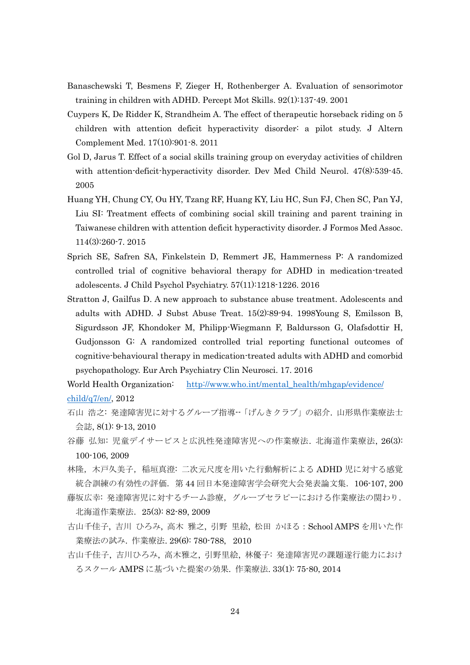- Banaschewski T, Besmens F, Zieger H, Rothenberger A. Evaluation of sensorimotor training in children with ADHD. Percept Mot Skills. 92(1):137-49. 2001
- Cuypers K, De Ridder K, Strandheim A. The effect of therapeutic horseback riding on 5 children with attention deficit hyperactivity disorder: a pilot study. J Altern Complement Med. 17(10):901-8. 2011
- Gol D, Jarus T. Effect of a social skills training group on everyday activities of children with attention-deficit-hyperactivity disorder. Dev Med Child Neurol. 47(8):539-45. 2005
- Huang YH, Chung CY, Ou HY, Tzang RF, Huang KY, Liu HC, Sun FJ, Chen SC, Pan YJ, Liu SI: Treatment effects of combining social skill training and parent training in Taiwanese children with attention deficit hyperactivity disorder. J Formos Med Assoc. 114(3):260-7. 2015
- Sprich SE, Safren SA, Finkelstein D, Remmert JE, Hammerness P: A randomized controlled trial of cognitive behavioral therapy for ADHD in medication-treated adolescents. J Child Psychol Psychiatry. 57(11):1218-1226. 2016
- Stratton J, Gailfus D. A new approach to substance abuse treatment. Adolescents and adults with ADHD. J Subst Abuse Treat. 15(2):89-94. 1998Young S, Emilsson B, Sigurdsson JF, Khondoker M, Philipp-Wiegmann F, Baldursson G, Olafsdottir H, Gudjonsson G: A randomized controlled trial reporting functional outcomes of cognitive-behavioural therapy in medication-treated adults with ADHD and comorbid psychopathology. Eur Arch Psychiatry Clin Neurosci. 17. 2016

World Health Organization: [http://www.who.int/mental\\_health/mhgap/e](http://www.who.int/mental_health/mhgap/)vidence/ child/q7/en/, 2012

- 石山 浩之: 発達障害児に対するグループ指導--「げんきクラブ」の紹介. 山形県作業療法士 会誌, 8(1): 9-13, 2010
- 谷藤 弘知: 児童デイサービスと広汎性発達障害児への作業療法. 北海道作業療法, 26(3): 100-106, 2009
- 林隆,木戸久美子,稲垣真澄: 二次元尺度を用いた行動解析による ADHD 児に対する感覚 統合訓練の有効性の評価. 第 44 回日本発達障害学会研究大会発表論文集. 106-107, 200
- 藤坂広幸: 発達障害児に対するチーム診療,グループセラピーにおける作業療法の関わり. 北海道作業療法.25(3): 82-89, 2009
- 古山千佳子, 吉川 ひろみ, 高木 雅之, 引野 里絵, 松田 かほる:School AMPS を用いた作 業療法の試み. 作業療法. 29(6): 780-788, 2010
- 古山千佳子, 吉川ひろみ, 高木雅之, 引野里絵, 林優子: 発達障害児の課題遂行能力におけ るスクール AMPS に基づいた提案の効果. 作業療法. 33(1): 75-80, 2014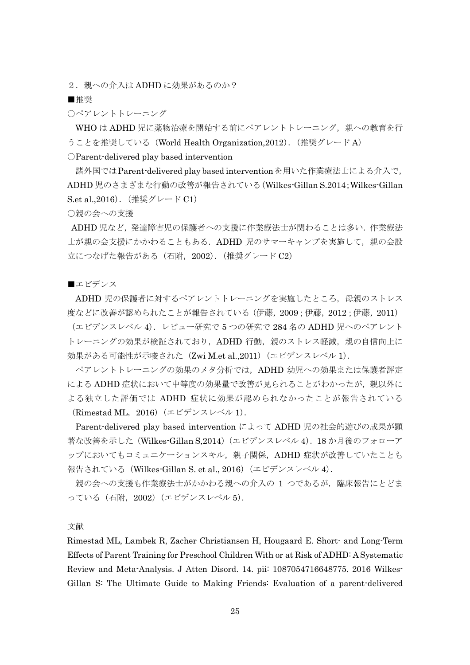2. 親への介入は ADHD に効果があるのか?

■推奨

○ペアレントトレーニング

WHO は ADHD 児に薬物治療を開始する前にペアレントトレーニング,親への教育を行 うことを推奨している (World Health Organization,2012). (推奨グレード A) ○Parent-delivered play based intervention

諸外国ではParent-delivered play based interventionを用いた作業療法士による介入で, ADHD 児のさまざまな行動の改善が報告されている(Wilkes-Gillan S.2014;Wilkes-Gillan S.et al.,2016).(推奨グレード C1)

○親の会への支援

ADHD 児など,発達障害児の保護者への支援に作業療法士が関わることは多い.作業療法 士が親の会支援にかかわることもある. ADHD 児のサマーキャンプを実施して、親の会設 立につなげた報告がある(石附,2002).(推奨グレード C2)

■エビデンス

ADHD 児の保護者に対するペアレントトレーニングを実施したところ、母親のストレス 度などに改善が認められたことが報告されている(伊藤,2009;伊藤,2012;伊藤,2011)

(エビデンスレベル 4). レビュー研究で 5 つの研究で 284 名の ADHD 児へのペアレント トレーニングの効果が検証されており, ADHD 行動, 親のストレス軽減, 親の自信向上に 効果がある可能性が示唆された(Zwi M.et al.,2011)(エビデンスレベル 1).

ペアレントトレーニングの効果のメタ分析では,ADHD 幼児への効果または保護者評定 による ADHD 症状において中等度の効果量で改善が見られることがわかったが、親以外に よる独立した評価では ADHD 症状に効果が認められなかったことが報告されている (Rimestad ML,2016)(エビデンスレベル 1).

Parent-delivered play based intervention によって ADHD 児の社会的遊びの成果が顕 著な改善を示した(Wilkes-Gillan S,2014)(エビデンスレベル 4).18 か月後のフォローア ップにおいてもコミュニケーションスキル,親子関係, ADHD 症状が改善していたことも 報告されている (Wilkes-Gillan S. et al., 2016) (エビデンスレベル 4).

親の会への支援も作業療法士がかかわる親への介入の 1 つであるが、臨床報告にとどま っている(石附,2002)(エビデンスレベル 5).

文献

Rimestad ML, Lambek R, Zacher Christiansen H, Hougaard E. Short- and Long-Term Effects of Parent Training for Preschool Children With or at Risk of ADHD: A Systematic Review and Meta-Analysis. J Atten Disord. 14. pii: 1087054716648775. 2016 Wilkes-Gillan S: The Ultimate Guide to Making Friends: Evaluation of a parent-delivered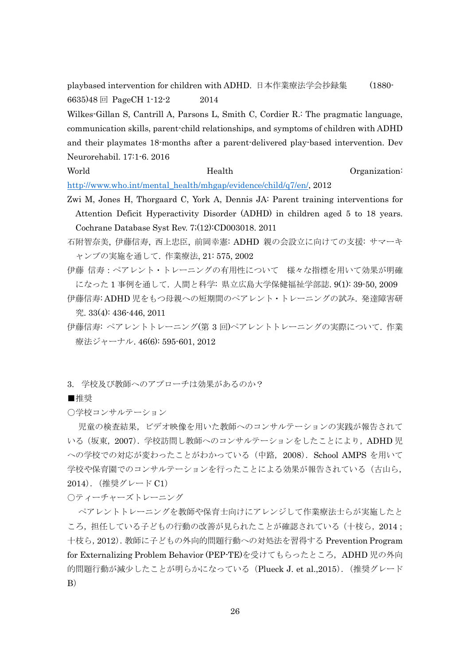playbased intervention for children with ADHD. 日本作業療法学会抄録集 (1880- 6635)48 回 PageCH 1-12-2 2014

Wilkes-Gillan S, Cantrill A, Parsons L, Smith C, Cordier R.: The pragmatic language, communication skills, parent-child relationships, and symptoms of children with ADHD and their playmates 18-months after a parent-delivered play-based intervention. Dev Neurorehabil. 17:1-6. 2016

## World **Health Health Organization:**

[http://www.who.int/mental\\_health/mhgap/e](http://www.who.int/mental_health/mhgap/)vidence/child/q7/en/, 2012

- Zwi M, Jones H, Thorgaard C, York A, Dennis JA: Parent training interventions for Attention Deficit Hyperactivity Disorder (ADHD) in children aged 5 to 18 years. Cochrane Database Syst Rev. 7;(12):CD003018. 2011
- 石附智奈美, 伊藤信寿, 西上忠臣, 前岡幸憲: ADHD 親の会設立に向けての支援: サマーキ ャンプの実施を通して. 作業療法, 21: 575, 2002
- 伊藤 信寿:ペアレント・トレーニングの有用性について 様々な指標を用いて効果が明確 になった 1 事例を通して. 人間と科学: 県立広島大学保健福祉学部誌. 9(1): 39-50, 2009
- 伊藤信寿: ADHD 児をもつ母親への短期間のペアレント・トレーニングの試み. 発達障害研 究. 33(4): 436-446, 2011
- 伊藤信寿: ペアレントトレーニング(第 3 回)ペアレントトレーニングの実際について. 作業 療法ジャーナル. 46(6): 595-601, 2012
- 3. 学校及び教師へのアプローチは効果があるのか?

■推奨

○学校コンサルテーション

児童の検査結果,ビデオ映像を用いた教師へのコンサルテーションの実践が報告されて いる(坂東,2007).学校訪問し教師へのコンサルテーションをしたことにより,ADHD 児 への学校での対応が変わったことがわかっている(中路,2008).School AMPS を用いて 学校や保育園でのコンサルテーションを行ったことによる効果が報告されている(古山ら, 2014).(推奨グレード C1)

○ティーチャーズトレーニング

ペアレントトレーニングを教師や保育士向けにアレンジして作業療法士らが実施したと ころ、担任している子どもの行動の改善が見られたことが確認されている(十枝ら, 2014; 十枝ら,2012).教師に子どもの外向的問題行動への対処法を習得する Prevention Program for Externalizing Problem Behavior (PEP-TE)を受けてもらったところ,ADHD 児の外向 的問題行動が減少したことが明らかになっている (Plueck J. et al.,2015). (推奨グレード B)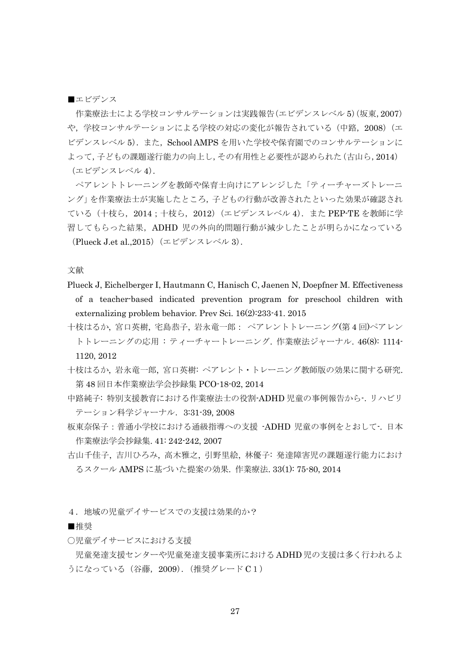■エビデンス

作業療法士による学校コンサルテーションは実践報告(エビデンスレベル 5) (坂東, 2007) や、学校コンサルテーションによる学校の対応の変化が報告されている(中路, 2008)(エ ビデンスレベル 5). また, School AMPS を用いた学校や保育園でのコンサルテーションに よって,子どもの課題遂行能力の向上し,その有用性と必要性が認められた(古山ら,2014) (エビデンスレベル 4).

ペアレントトレーニングを教師や保育士向けにアレンジした「ティーチャーズトレーニ ング」を作業療法士が実施したところ,子どもの行動が改善されたといった効果が確認され ている(十枝ら,2014;十枝ら,2012)(エビデンスレベル 4).また PEP-TE を教師に学 習してもらった結果,ADHD 児の外向的問題行動が減少したことが明らかになっている (Plueck J.et al.,2015)(エビデンスレベル 3).

文献

- Plueck J, Eichelberger I, Hautmann C, Hanisch C, Jaenen N, Doepfner M. Effectiveness of a teacher-based indicated prevention program for preschool children with externalizing problem behavior. Prev Sci. 16(2):233-41. 2015
- 十枝はるか, 宮口英樹, 宅島恭子, 岩永竜一郎: ペアレントトレーニング(第 4 回)ペアレン トトレーニングの応用 : ティーチャートレーニング. 作業療法ジャーナル. 46(8): 1114- 1120, 2012
- 十枝はるか, 岩永竜一郎, 宮口英樹: ペアレント・トレーニング教師版の効果に関する研究. 第 48 回日本作業療法学会抄録集 PCO-18-02, 2014
- 中路純子: 特別支援教育における作業療法士の役割-ADHD 児童の事例報告から-.リハビリ テーション科学ジャーナル. 3:31-39, 2008
- 板東奈保子:普通小学校における通級指導への支援 -ADHD 児童の事例をとおして-. 日本 作業療法学会抄録集. 41: 242-242, 2007
- 古山千佳子, 吉川ひろみ, 高木雅之, 引野里絵, 林優子: 発達障害児の課題遂行能力におけ るスクール AMPS に基づいた提案の効果. 作業療法. 33(1): 75-80, 2014
- 4. 地域の児童デイサービスでの支援は効果的か?

■推奨

○児童デイサービスにおける支援

児童発達支援センターや児童発達支援事業所における ADHD 児の支援は多く行われるよ うになっている(谷藤, 2009). (推奨グレード C1)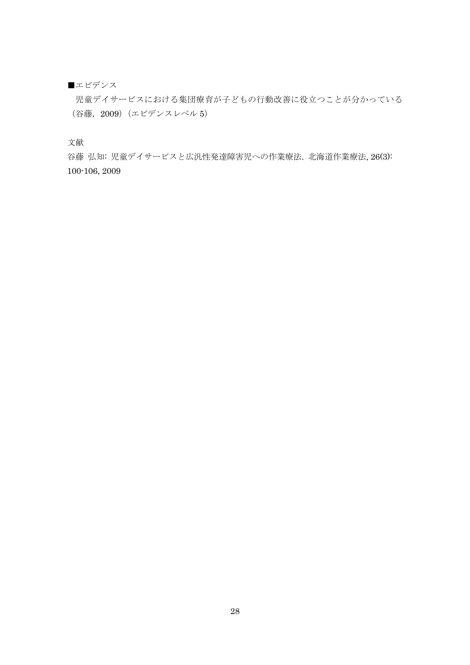## ■エビデンス

児童デイサービスにおける集団療育が子どもの行動改善に役立つことが分かっている (谷藤,2009)(エビデンスレベル 5)

文献

谷藤 弘知: 児童デイサービスと広汎性発達障害児への作業療法. 北海道作業療法, 26(3): 100-106, 2009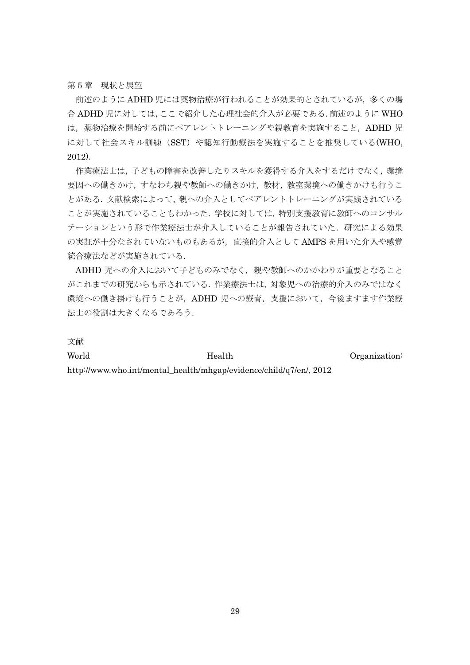第 5 章 現状と展望

前述のように ADHD 児には薬物治療が行われることが効果的とされているが,多くの場 合 ADHD 児に対しては,ここで紹介した心理社会的介入が必要である.前述のように WHO は、薬物治療を開始する前にペアレントトレーニングや親教育を実施すること, ADHD 児 に対して社会スキル訓練(SST)や認知行動療法を実施することを推奨している(WHO, 2012).

作業療法士は、子どもの障害を改善したりスキルを獲得する介入をするだけでなく、環境 要因への働きかけ,すなわち親や教師への働きかけ,教材,教室環境への働きかけも行うこ とがある.文献検索によって,親への介入としてペアレントトレーニングが実践されている ことが実施されていることもわかった.学校に対しては,特別支援教育に教師へのコンサル テーションという形で作業療法士が介入していることが報告されていた.研究による効果 の実証が十分なされていないものもあるが,直接的介入として AMPS を用いた介入や感覚 統合療法などが実施されている.

ADHD 児への介入において子どものみでなく,親や教師へのかかわりが重要となること がこれまでの研究からも示されている.作業療法士は,対象児への治療的介入のみではなく 環境への働き掛けも行うことが, ADHD 児への療育, 支援において, 今後ますます作業療 法士の役割は大きくなるであろう.

文献

World Health **Health** Organization:

http://www.who.int/mental\_health/mhgap/evidence/child/q7/en/, 2012